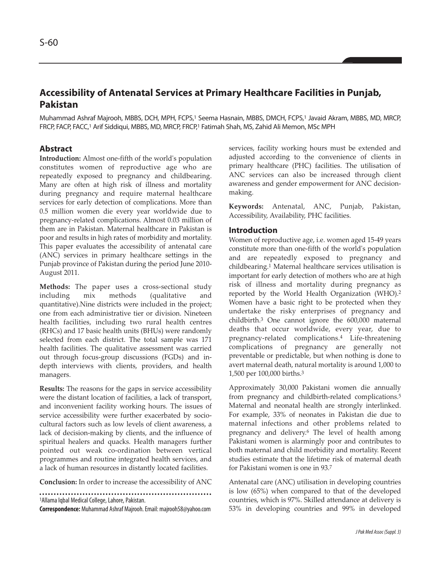# **Accessibility of Antenatal Services at Primary Healthcare Facilities in Punjab, Pakistan**

Muhammad Ashraf Majrooh, MBBS, DCH, MPH, FCPS,<sup>1</sup> Seema Hasnain, MBBS, DMCH, FCPS,<sup>1</sup> Javaid Akram, MBBS, MD, MRCP, FRCP, FACP, FACC,<sup>1</sup> Arif Siddiqui, MBBS, MD, MRCP, FRCP,<sup>1</sup> Fatimah Shah, MS, Zahid Ali Memon, MSc MPH

## **Abstract**

**Introduction:** Almost one-fifth of the world's population constitutes women of reproductive age who are repeatedly exposed to pregnancy and childbearing. Many are often at high risk of illness and mortality during pregnancy and require maternal healthcare services for early detection of complications. More than 0.5 million women die every year worldwide due to pregnancy-related complications. Almost 0.03 million of them are in Pakistan. Maternal healthcare in Pakistan is poor and results in high rates of morbidity and mortality. This paper evaluates the accessibility of antenatal care (ANC) services in primary healthcare settings in the Punjab province of Pakistan during the period June 2010- August 2011.

**Methods:** The paper uses a cross-sectional study including mix methods (qualitative and quantitative).Nine districts were included in the project; one from each administrative tier or division. Nineteen health facilities, including two rural health centres (RHCs) and 17 basic health units (BHUs) were randomly selected from each district. The total sample was 171 health facilities. The qualitative assessment was carried out through focus-group discussions (FGDs) and indepth interviews with clients, providers, and health managers.

**Results:** The reasons for the gaps in service accessibility were the distant location of facilities, a lack of transport, and inconvenient facility working hours. The issues of service accessibility were further exacerbated by sociocultural factors such as low levels of client awareness, a lack of decision-making by clients, and the influence of spiritual healers and quacks. Health managers further pointed out weak co-ordination between vertical programmes and routine integrated health services, and a lack of human resources in distantly located facilities.

**Conclusion:** In order to increase the accessibility of ANC

<sup>1</sup>Allama Iqbal Medical College, Lahore, Pakistan.

**Correspondence:** Muhammad Ashraf Majrooh. Email: majrooh58@yahoo.com

services, facility working hours must be extended and adjusted according to the convenience of clients in primary healthcare (PHC) facilities. The utilisation of ANC services can also be increased through client awareness and gender empowerment for ANC decisionmaking.

**Keywords:** Antenatal, ANC, Punjab, Pakistan, Accessibility, Availability, PHC facilities.

## **Introduction**

Women of reproductive age, i.e. women aged 15-49 years constitute more than one-fifth of the world's population and are repeatedly exposed to pregnancy and childbearing.<sup>1</sup> Maternal healthcare services utilisation is important for early detection of mothers who are at high risk of illness and mortality during pregnancy as reported by the World Health Organization (WHO).<sup>2</sup> Women have a basic right to be protected when they undertake the risky enterprises of pregnancy and childbirth.<sup>3</sup> One cannot ignore the 600,000 maternal deaths that occur worldwide, every year, due to pregnancy-related complications.<sup>4</sup> Life-threatening complications of pregnancy are generally not preventable or predictable, but when nothing is done to avert maternal death, natural mortality is around 1,000 to 1,500 per 100,000 births.<sup>3</sup>

Approximately 30,000 Pakistani women die annually from pregnancy and childbirth-related complications.<sup>5</sup> Maternal and neonatal health are strongly interlinked. For example, 33% of neonates in Pakistan die due to maternal infections and other problems related to pregnancy and delivery.<sup>6</sup> The level of health among Pakistani women is alarmingly poor and contributes to both maternal and child morbidity and mortality. Recent studies estimate that the lifetime risk of maternal death for Pakistani women is one in 93.<sup>7</sup>

Antenatal care (ANC) utilisation in developing countries is low (65%) when compared to that of the developed countries, which is 97%. Skilled attendance at delivery is 53% in developing countries and 99% in developed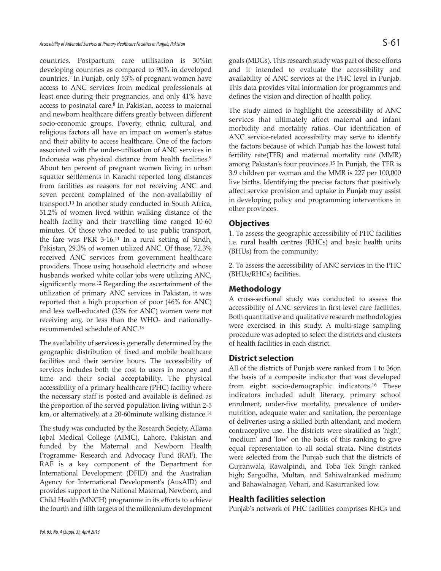countries. Postpartum care utilisation is 30%in developing countries as compared to 90% in developed countries.<sup>2</sup> In Punjab, only 53% of pregnant women have access to ANC services from medical professionals at least once during their pregnancies, and only 41% have access to postnatal care.<sup>8</sup> In Pakistan, access to maternal and newborn healthcare differs greatly between different socio-economic groups. Poverty, ethnic, cultural, and religious factors all have an impact on women's status and their ability to access healthcare. One of the factors associated with the under-utilisation of ANC services in Indonesia was physical distance from health facilities.<sup>9</sup> About ten percent of pregnant women living in urban squatter settlements in Karachi reported long distances from facilities as reasons for not receiving ANC and seven percent complained of the non-availability of transport.<sup>10</sup> In another study conducted in South Africa, 51.2% of women lived within walking distance of the health facility and their travelling time ranged 10-60 minutes. Of those who needed to use public transport, the fare was PKR 3-16.<sup>11</sup> In a rural setting of Sindh, Pakistan, 29.3% of women utilized ANC. Of those, 72.3% received ANC services from government healthcare providers. Those using household electricity and whose husbands worked white collar jobs were utilizing ANC, significantly more.<sup>12</sup> Regarding the ascertainment of the utilization of primary ANC services in Pakistan, it was reported that a high proportion of poor (46% for ANC) and less well-educated (33% for ANC) women were not receiving any, or less than the WHO- and nationallyrecommended schedule of ANC.<sup>13</sup>

The availability of services is generally determined by the geographic distribution of fixed and mobile healthcare facilities and their service hours. The accessibility of services includes both the cost to users in money and time and their social acceptability. The physical accessibility of a primary healthcare (PHC) facility where the necessary staff is posted and available is defined as the proportion of the served population living within 2-5 km, or alternatively, at a 20-60minute walking distance.<sup>14</sup>

The study was conducted by the Research Society, Allama Iqbal Medical College (AIMC), Lahore, Pakistan and funded by the Maternal and Newborn Health Programme- Research and Advocacy Fund (RAF). The RAF is a key component of the Department for International Development (DFID) and the Australian Agency for International Development's (AusAID) and provides support to the National Maternal, Newborn, and Child Health (MNCH) programme in its efforts to achieve the fourth and fifth targets of the millennium development goals (MDGs). This research study was part of these efforts and it intended to evaluate the accessibility and availability of ANC services at the PHC level in Punjab. This data provides vital information for programmes and defines the vision and direction of health policy.

The study aimed to highlight the accessibility of ANC services that ultimately affect maternal and infant morbidity and mortality ratios. Our identification of ANC service-related accessibility may serve to identify the factors because of which Punjab has the lowest total fertility rate(TFR) and maternal mortality rate (MMR) among Pakistan's four provinces.<sup>15</sup> In Punjab, the TFR is 3.9 children per woman and the MMR is 227 per 100,000 live births. Identifying the precise factors that positively affect service provision and uptake in Punjab may assist in developing policy and programming interventions in other provinces.

## **Objectives**

1. To assess the geographic accessibility of PHC facilities i.e. rural health centres (RHCs) and basic health units (BHUs) from the community;

2. To assess the accessibility of ANC services in the PHC (BHUs/RHCs) facilities.

#### **Methodology**

A cross-sectional study was conducted to assess the accessibility of ANC services in first-level care facilities. Both quantitative and qualitative research methodologies were exercised in this study. A multi-stage sampling procedure was adopted to select the districts and clusters of health facilities in each district.

#### **District selection**

All of the districts of Punjab were ranked from 1 to 36on the basis of a composite indicator that was developed from eight socio-demographic indicators.<sup>16</sup> These indicators included adult literacy, primary school enrolment, under-five mortality, prevalence of undernutrition, adequate water and sanitation, the percentage of deliveries using a skilled birth attendant, and modern contraceptive use. The districts were stratified as 'high', 'medium' and 'low' on the basis of this ranking to give equal representation to all social strata. Nine districts were selected from the Punjab such that the districts of Gujranwala, Rawalpindi, and Toba Tek Singh ranked high; Sargodha, Multan, and Sahiwalranked medium; and Bahawalnagar, Vehari, and Kasurranked low.

## **Health facilities selection**

Punjab's network of PHC facilities comprises RHCs and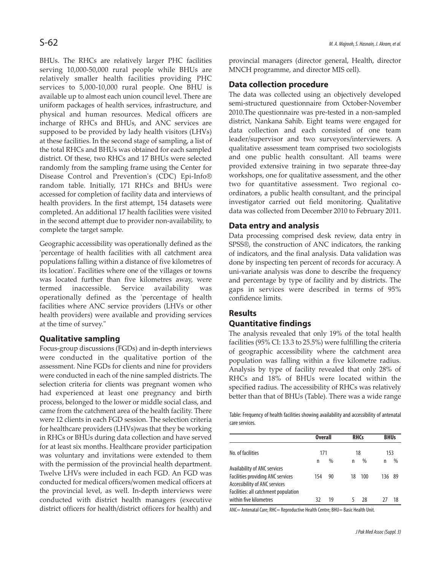BHUs. The RHCs are relatively larger PHC facilities serving 10,000-50,000 rural people while BHUs are relatively smaller health facilities providing PHC services to 5,000-10,000 rural people. One BHU is available up to almost each union council level. There are uniform packages of health services, infrastructure, and physical and human resources. Medical officers are incharge of RHCs and BHUs, and ANC services are supposed to be provided by lady health visitors (LHVs) at these facilities. In the second stage of sampling, a list of the total RHCs and BHUs was obtained for each sampled district. Of these, two RHCs and 17 BHUs were selected randomly from the sampling frame using the Center for Disease Control and Prevention's (CDC) Epi-Info® random table. Initially, 171 RHCs and BHUs were accessed for completion of facility data and interviews of health providers. In the first attempt, 154 datasets were completed. An additional 17 health facilities were visited in the second attempt due to provider non-availability, to complete the target sample.

Geographic accessibility was operationally defined as the 'percentage of health facilities with all catchment area populations falling within a distance of five kilometres of its location'. Facilities where one of the villages or towns was located further than five kilometres away, were termed inaccessible. Service availability was operationally defined as the 'percentage of health facilities where ANC service providers (LHVs or other health providers) were available and providing services at the time of survey."

## **Qualitative sampling**

Focus-group discussions (FGDs) and in-depth interviews were conducted in the qualitative portion of the assessment. Nine FGDs for clients and nine for providers were conducted in each of the nine sampled districts. The selection criteria for clients was pregnant women who had experienced at least one pregnancy and birth process, belonged to the lower or middle social class, and came from the catchment area of the health facility. There were 12 clients in each FGD session. The selection criteria for healthcare providers (LHVs)was that they be working in RHCs or BHUs during data collection and have served for at least six months. Healthcare provider participation was voluntary and invitations were extended to them with the permission of the provincial health department. Twelve LHVs were included in each FGD. An FGD was conducted for medical officers/women medical officers at the provincial level, as well. In-depth interviews were conducted with district health managers (executive district officers for health/district officers for health) and provincial managers (director general, Health, director MNCH programme, and director MIS cell).

## **Data collection procedure**

The data was collected using an objectively developed semi-structured questionnaire from October-November 2010.The questionnaire was pre-tested in a non-sampled district, Nankana Sahib. Eight teams were engaged for data collection and each consisted of one team leader/supervisor and two surveyors/interviewers. A qualitative assessment team comprised two sociologists and one public health consultant. All teams were provided extensive training in two separate three-day workshops, one for qualitative assessment, and the other two for quantitative assessment. Two regional coordinators, a public health consultant, and the principal investigator carried out field monitoring. Qualitative data was collected from December 2010 to February 2011.

## **Data entry and analysis**

Data processing comprised desk review, data entry in SPSS®, the construction of ANC indicators, the ranking of indicators, and the final analysis. Data validation was done by inspecting ten percent of records for accuracy. A uni-variate analysis was done to describe the frequency and percentage by type of facility and by districts. The gaps in services were described in terms of 95% confidence limits.

## **Results**

#### **Quantitative findings**

The analysis revealed that only 19% of the total health facilities (95% CI: 13.3 to 25.5%) were fulfilling the criteria of geographic accessibility where the catchment area population was falling within a five kilometre radius. Analysis by type of facility revealed that only 28% of RHCs and 18% of BHUs were located within the specified radius. The accessibility of RHCs was relatively better than that of BHUs (Table). There was a wide range

Table: Frequency of health facilities showing availability and accessibility of antenatal care services.

|                                                                                                                                            | <b>Overall</b><br>171 |    | <b>RHCs</b><br>18 |               | <b>BHUs</b><br>153 |               |
|--------------------------------------------------------------------------------------------------------------------------------------------|-----------------------|----|-------------------|---------------|--------------------|---------------|
| No. of facilities                                                                                                                          |                       |    |                   |               |                    |               |
|                                                                                                                                            | n                     | %  | n                 | $\frac{0}{0}$ | n                  | $\frac{0}{0}$ |
| Availability of ANC services<br>Facilities providing ANC services<br>Accessibility of ANC services<br>Facilities: all catchment population | 154                   | 90 | 18                | 100           | 136                | -89           |
| within five kilometres                                                                                                                     | 32                    | 19 | 5                 | 28            |                    | 18            |

ANC= Antenatal Care; RHC= Reproductive Health Centre; BHU= Basic Health Unit.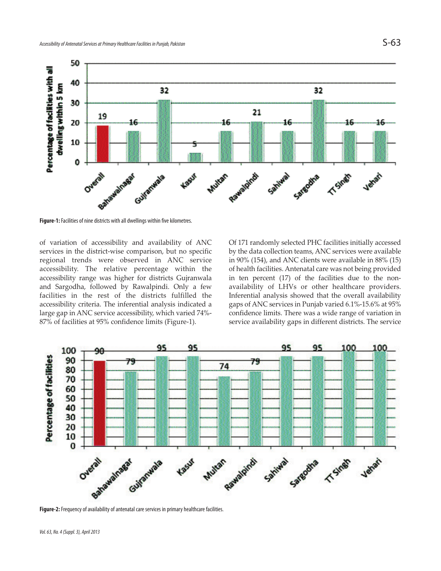

**Figure-1:** Facilities of nine districts with all dwellings within five kilometres.

of variation of accessibility and availability of ANC services in the district-wise comparison, but no specific regional trends were observed in ANC service accessibility. The relative percentage within the accessibility range was higher for districts Gujranwala and Sargodha, followed by Rawalpindi. Only a few facilities in the rest of the districts fulfilled the accessibility criteria. The inferential analysis indicated a large gap in ANC service accessibility, which varied 74%- 87% of facilities at 95% confidence limits (Figure-1).

Of 171 randomly selected PHC facilities initially accessed by the data collection teams, ANC services were available in 90% (154), and ANC clients were available in 88% (15) of health facilities. Antenatal care was not being provided in ten percent (17) of the facilities due to the nonavailability of LHVs or other healthcare providers. Inferential analysis showed that the overall availability gaps of ANC services in Punjab varied 6.1%-15.6% at 95% confidence limits. There was a wide range of variation in service availability gaps in different districts. The service



**Figure-2:** Frequency of availability of antenatal care services in primary healthcare facilities.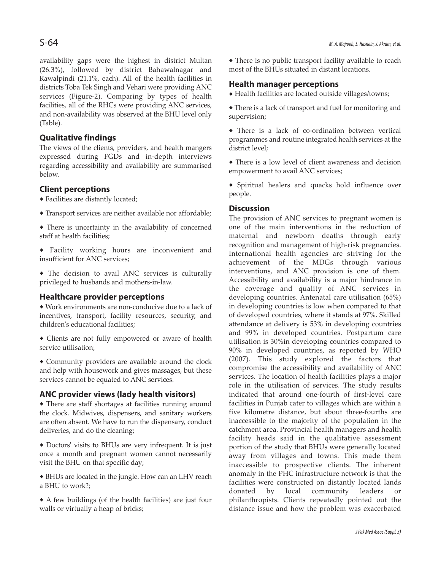availability gaps were the highest in district Multan (26.3%), followed by district Bahawalnagar and Rawalpindi (21.1%, each). All of the health facilities in districts Toba Tek Singh and Vehari were providing ANC services (Figure-2). Comparing by types of health facilities, all of the RHCs were providing ANC services, and non-availability was observed at the BHU level only (Table).

## **Qualitative findings**

The views of the clients, providers, and health mangers expressed during FGDs and in-depth interviews regarding accessibility and availability are summarised below.

## **Client perceptions**

- Facilities are distantly located;
- Transport services are neither available nor affordable;
- There is uncertainty in the availability of concerned staff at health facilities;
- Facility working hours are inconvenient and insufficient for ANC services;
- The decision to avail ANC services is culturally privileged to husbands and mothers-in-law.

## **Healthcare provider perceptions**

 Work environments are non-conducive due to a lack of incentives, transport, facility resources, security, and children's educational facilities;

 Clients are not fully empowered or aware of health service utilisation;

 Community providers are available around the clock and help with housework and gives massages, but these services cannot be equated to ANC services.

## **ANC provider views (lady health visitors)**

 There are staff shortages at facilities running around the clock. Midwives, dispensers, and sanitary workers are often absent. We have to run the dispensary, conduct deliveries, and do the cleaning;

 Doctors' visits to BHUs are very infrequent. It is just once a month and pregnant women cannot necessarily visit the BHU on that specific day;

 BHUs are located in the jungle. How can an LHV reach a BHU to work?;

 A few buildings (of the health facilities) are just four walls or virtually a heap of bricks;

 There is no public transport facility available to reach most of the BHUs situated in distant locations.

## **Health manager perceptions**

Health facilities are located outside villages/towns;

 There is a lack of transport and fuel for monitoring and supervision;

 There is a lack of co-ordination between vertical programmes and routine integrated health services at the district level;

 There is a low level of client awareness and decision empowerment to avail ANC services;

 Spiritual healers and quacks hold influence over people.

## **Discussion**

The provision of ANC services to pregnant women is one of the main interventions in the reduction of maternal and newborn deaths through early recognition and management of high-risk pregnancies. International health agencies are striving for the achievement of the MDGs through various interventions, and ANC provision is one of them. Accessibility and availability is a major hindrance in the coverage and quality of ANC services in developing countries. Antenatal care utilisation (65%) in developing countries is low when compared to that of developed countries, where it stands at 97%. Skilled attendance at delivery is 53% in developing countries and 99% in developed countries. Postpartum care utilisation is 30%in developing countries compared to 90% in developed countries, as reported by WHO (2007). This study explored the factors that compromise the accessibility and availability of ANC services. The location of health facilities plays a major role in the utilisation of services. The study results indicated that around one-fourth of first-level care facilities in Punjab cater to villages which are within a five kilometre distance, but about three-fourths are inaccessible to the majority of the population in the catchment area. Provincial health managers and health facility heads said in the qualitative assessment portion of the study that BHUs were generally located away from villages and towns. This made them inaccessible to prospective clients. The inherent anomaly in the PHC infrastructure network is that the facilities were constructed on distantly located lands donated by local community leaders or philanthropists. Clients repeatedly pointed out the distance issue and how the problem was exacerbated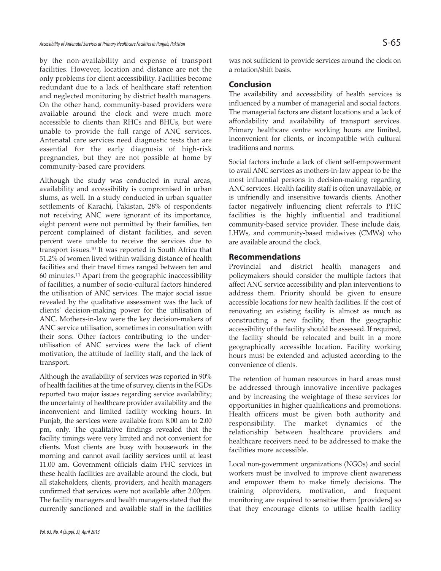by the non-availability and expense of transport facilities. However, location and distance are not the only problems for client accessibility. Facilities become redundant due to a lack of healthcare staff retention and neglected monitoring by district health managers. On the other hand, community-based providers were available around the clock and were much more accessible to clients than RHCs and BHUs, but were unable to provide the full range of ANC services. Antenatal care services need diagnostic tests that are essential for the early diagnosis of high-risk pregnancies, but they are not possible at home by community-based care providers.

Although the study was conducted in rural areas, availability and accessibility is compromised in urban slums, as well. In a study conducted in urban squatter settlements of Karachi, Pakistan, 28% of respondents not receiving ANC were ignorant of its importance, eight percent were not permitted by their families, ten percent complained of distant facilities, and seven percent were unable to receive the services due to transport issues.<sup>10</sup> It was reported in South Africa that 51.2% of women lived within walking distance of health facilities and their travel times ranged between ten and 60 minutes.<sup>11</sup> Apart from the geographic inaccessibility of facilities, a number of socio-cultural factors hindered the utilisation of ANC services. The major social issue revealed by the qualitative assessment was the lack of clients' decision-making power for the utilisation of ANC. Mothers-in-law were the key decision-makers of ANC service utilisation, sometimes in consultation with their sons. Other factors contributing to the underutilisation of ANC services were the lack of client motivation, the attitude of facility staff, and the lack of transport.

Although the availability of services was reported in 90% of health facilities at the time of survey, clients in the FGDs reported two major issues regarding service availability; the uncertainty of healthcare provider availability and the inconvenient and limited facility working hours. In Punjab, the services were available from 8.00 am to 2.00 pm, only. The qualitative findings revealed that the facility timings were very limited and not convenient for clients. Most clients are busy with housework in the morning and cannot avail facility services until at least 11.00 am. Government officials claim PHC services in these health facilities are available around the clock, but all stakeholders, clients, providers, and health managers confirmed that services were not available after 2.00pm. The facility managers and health managers stated that the currently sanctioned and available staff in the facilities was not sufficient to provide services around the clock on a rotation/shift basis.

#### **Conclusion**

The availability and accessibility of health services is influenced by a number of managerial and social factors. The managerial factors are distant locations and a lack of affordability and availability of transport services. Primary healthcare centre working hours are limited, inconvenient for clients, or incompatible with cultural traditions and norms.

Social factors include a lack of client self-empowerment to avail ANC services as mothers-in-law appear to be the most influential persons in decision-making regarding ANC services. Health facility staff is often unavailable, or is unfriendly and insensitive towards clients. Another factor negatively influencing client referrals to PHC facilities is the highly influential and traditional community-based service provider. These include dais, LHWs, and community-based midwives (CMWs) who are available around the clock.

#### **Recommendations**

Provincial and district health managers and policymakers should consider the multiple factors that affect ANC service accessibility and plan interventions to address them. Priority should be given to ensure accessible locations for new health facilities. If the cost of renovating an existing facility is almost as much as constructing a new facility, then the geographic accessibility of the facility should be assessed. If required, the facility should be relocated and built in a more geographically accessible location. Facility working hours must be extended and adjusted according to the convenience of clients.

The retention of human resources in hard areas must be addressed through innovative incentive packages and by increasing the weightage of these services for opportunities in higher qualifications and promotions. Health officers must be given both authority and responsibility. The market dynamics of the relationship between healthcare providers and healthcare receivers need to be addressed to make the facilities more accessible.

Local non-government organizations (NGOs) and social workers must be involved to improve client awareness and empower them to make timely decisions. The training ofproviders, motivation, and frequent monitoring are required to sensitise them [providers] so that they encourage clients to utilise health facility